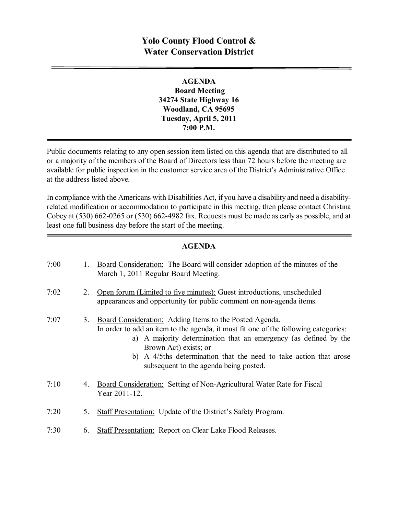# **Yolo County Flood Control & Water Conservation District**

**AGENDA Board Meeting 34274 State Highway 16 Woodland, CA 95695 Tuesday, April 5, 2011 7:00 P.M.**

Public documents relating to any open session item listed on this agenda that are distributed to all or a majority of the members of the Board of Directors less than 72 hours before the meeting are available for public inspection in the customer service area of the District's Administrative Office at the address listed above*.*

In compliance with the Americans with Disabilities Act, if you have a disability and need a disabilityrelated modification or accommodation to participate in this meeting, then please contact Christina Cobey at  $(530)$  662-0265 or  $(530)$  662-4982 fax. Requests must be made as early as possible, and at least one full business day before the start of the meeting.

#### **AGENDA**

| 7:00 | 1. | Board Consideration: The Board will consider adoption of the minutes of the<br>March 1, 2011 Regular Board Meeting.                                                                                                                                                                                                                                        |
|------|----|------------------------------------------------------------------------------------------------------------------------------------------------------------------------------------------------------------------------------------------------------------------------------------------------------------------------------------------------------------|
| 7:02 | 2. | Open forum (Limited to five minutes): Guest introductions, unscheduled<br>appearances and opportunity for public comment on non-agenda items.                                                                                                                                                                                                              |
| 7:07 | 3. | Board Consideration: Adding Items to the Posted Agenda.<br>In order to add an item to the agenda, it must fit one of the following categories:<br>a) A majority determination that an emergency (as defined by the<br>Brown Act) exists; or<br>b) A 4/5ths determination that the need to take action that arose<br>subsequent to the agenda being posted. |
| 7:10 | 4. | Board Consideration: Setting of Non-Agricultural Water Rate for Fiscal<br>Year 2011-12.                                                                                                                                                                                                                                                                    |
| 7:20 | 5. | <b>Staff Presentation:</b> Update of the District's Safety Program.                                                                                                                                                                                                                                                                                        |
| 7:30 | 6. | <b>Staff Presentation: Report on Clear Lake Flood Releases.</b>                                                                                                                                                                                                                                                                                            |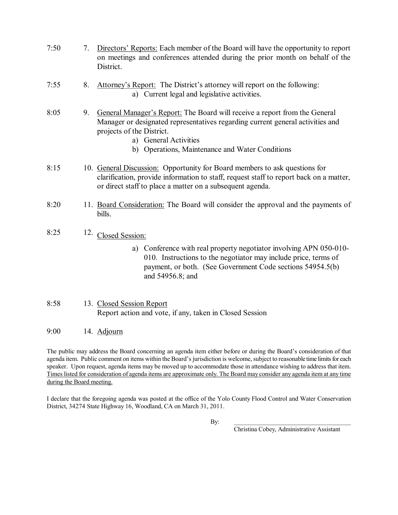- 7:50 7. Directors' Reports: Each member of the Board will have the opportunity to report on meetings and conferences attended during the prior month on behalf of the District.
- 7:55 8. Attorney's Report: The District's attorney will report on the following: a) Current legal and legislative activities.
- 8:05 9. General Manager's Report: The Board will receive a report from the General Manager or designated representatives regarding current general activities and projects of the District.
	- a) General Activities
	- b) Operations, Maintenance and Water Conditions
- 8:15 10. General Discussion: Opportunity for Board members to ask questions for clarification, provide information to staff, request staff to report back on a matter, or direct staff to place a matter on a subsequent agenda.
- 8:20 11. Board Consideration: The Board will consider the approval and the payments of bills.
- 8:25  $12.$  Closed Session:
	- a) Conference with real property negotiator involving APN 050-010-010. Instructions to the negotiator may include price, terms of payment, or both. (See Government Code sections 54954.5(b) and 54956.8; and
- 8:58 13. Closed Session Report Report action and vote, if any, taken in Closed Session
- 9:00 14. Adjourn

The public may address the Board concerning an agenda item either before or during the Board's consideration of that agenda item. Public comment on items within the Board's jurisdiction is welcome, subject to reasonable time limits for each speaker. Upon request, agenda items may be moved up to accommodate those in attendance wishing to address that item. Times listed for consideration of agenda items are approximate only. The Board may consider any agenda item at any time during the Board meeting.

I declare that the foregoing agenda was posted at the office of the Yolo County Flood Control and Water Conservation District, 34274 State Highway 16, Woodland, CA on March 31, 2011.

By:  $\Box$ 

Christina Cobey, Administrative Assistant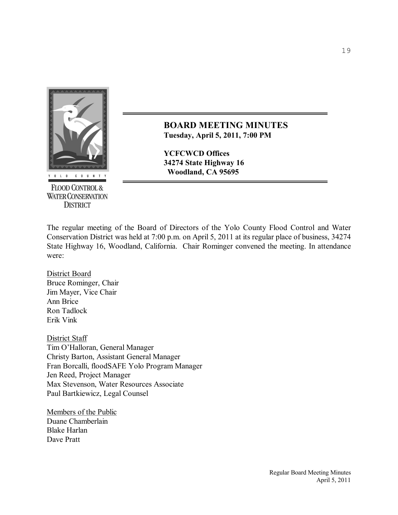

**FLOOD CONTROL & WATER CONSERVATION DISTRICT** 

**BOARD MEETING MINUTES Tuesday, April 5, 2011, 7:00 PM** 

**YCFCWCD Offices 34274 State Highway 16 Woodland, CA 95695**

The regular meeting of the Board of Directors of the Yolo County Flood Control and Water Conservation District was held at 7:00 p.m. on April 5, 2011 at its regular place of business, 34274 State Highway 16, Woodland, California. Chair Rominger convened the meeting. In attendance were:

District Board Bruce Rominger, Chair Jim Mayer, Vice Chair Ann Brice Ron Tadlock Erik Vink

District Staff Tim O'Halloran, General Manager Christy Barton, Assistant General Manager Fran Borcalli, floodSAFE Yolo Program Manager Jen Reed, Project Manager Max Stevenson, Water Resources Associate Paul Bartkiewicz, Legal Counsel

Members of the Public Duane Chamberlain Blake Harlan Dave Pratt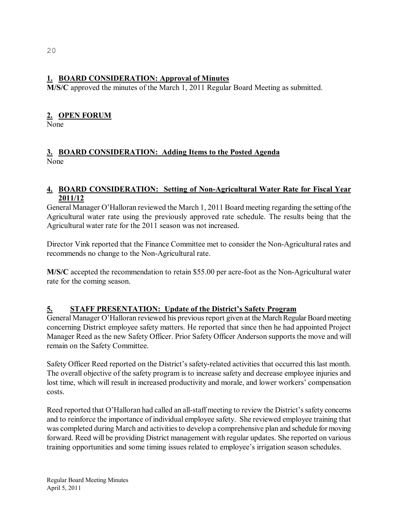### **1. BOARD CONSIDERATION: Approval of Minutes**

**M/S/C** approved the minutes of the March 1, 2011 Regular Board Meeting as submitted.

# **2. OPEN FORUM**

None

# **3. BOARD CONSIDERATION: Adding Items to the Posted Agenda** None

### **4. BOARD CONSIDERATION:** Setting of Non-Agricultural Water Rate for Fiscal Year **2011/12**

General Manager O'Halloran reviewed the March 1, 2011 Board meeting regarding the setting ofthe Agricultural water rate using the previously approved rate schedule. The results being that the Agricultural water rate for the 2011 season was not increased.

Director Vink reported that the Finance Committee met to consider the Non-Agricultural rates and recommends no change to the Non-Agricultural rate.

**M/S/C** accepted the recommendation to retain \$55.00 per acre-foot as the Non-Agricultural water rate for the coming season.

# **5. STAFF PRESENTATION: Update of the District's Safety Program**

General Manager O'Halloran reviewed his previous report given at the March Regular Board meeting concerning District employee safety matters. He reported that since then he had appointed Project Manager Reed as the new Safety Officer. Prior Safety Officer Anderson supports the move and will remain on the Safety Committee.

Safety Officer Reed reported on the District's safety-related activities that occurred this last month. The overall objective of the safety program is to increase safety and decrease employee injuries and lost time, which will result in increased productivity and morale, and lower workers' compensation costs.

Reed reported that O'Halloran had called an all-staff meeting to review the District's safety concerns and to reinforce the importance of individual employee safety. She reviewed employee training that was completed during March and activities to develop a comprehensive plan and schedule for moving forward. Reed will be providing District management with regular updates. She reported on various training opportunities and some timing issues related to employee's irrigation season schedules.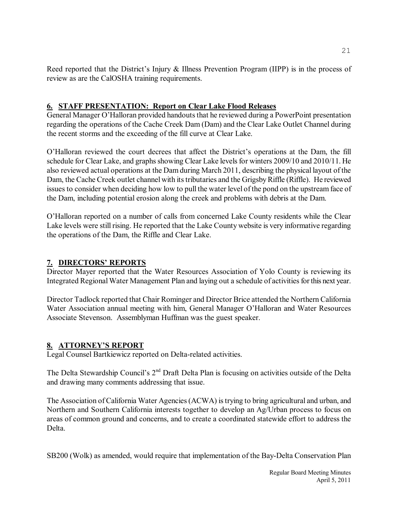Reed reported that the District's Injury & Illness Prevention Program (IIPP) is in the process of review as are the CalOSHA training requirements.

### **6. STAFF PRESENTATION: Report on Clear Lake Flood Releases**

General Manager O'Halloran provided handouts that he reviewed during a PowerPoint presentation regarding the operations of the Cache Creek Dam (Dam) and the Clear Lake Outlet Channel during the recent storms and the exceeding of the fill curve at Clear Lake.

O'Halloran reviewed the court decrees that affect the District's operations at the Dam, the fill schedule for Clear Lake, and graphs showing Clear Lake levels for winters 2009/10 and 2010/11. He also reviewed actual operations at the Dam during March 2011, describing the physical layout of the Dam, the Cache Creek outlet channel with its tributaries and the Grigsby Riffle (Riffle). He reviewed issues to consider when deciding how low to pull the water level of the pond on the upstream face of the Dam, including potential erosion along the creek and problems with debris at the Dam.

O'Halloran reported on a number of calls from concerned Lake County residents while the Clear Lake levels were still rising. He reported that the Lake County website is very informative regarding the operations of the Dam, the Riffle and Clear Lake.

# **7. DIRECTORS' REPORTS**

Director Mayer reported that the Water Resources Association of Yolo County is reviewing its Integrated Regional Water Management Plan and laying out a schedule of activities for this next year.

Director Tadlock reported that Chair Rominger and Director Brice attended the Northern California Water Association annual meeting with him, General Manager O'Halloran and Water Resources Associate Stevenson. Assemblyman Huffman was the guest speaker.

# **8. ATTORNEY'S REPORT**

Legal Counsel Bartkiewicz reported on Delta-related activities.

The Delta Stewardship Council's 2<sup>nd</sup> Draft Delta Plan is focusing on activities outside of the Delta and drawing many comments addressing that issue.

The Association of California Water Agencies(ACWA) istrying to bring agricultural and urban, and Northern and Southern California interests together to develop an Ag/Urban process to focus on areas of common ground and concerns, and to create a coordinated statewide effort to address the Delta.

SB200 (Wolk) as amended, would require that implementation of the Bay-Delta Conservation Plan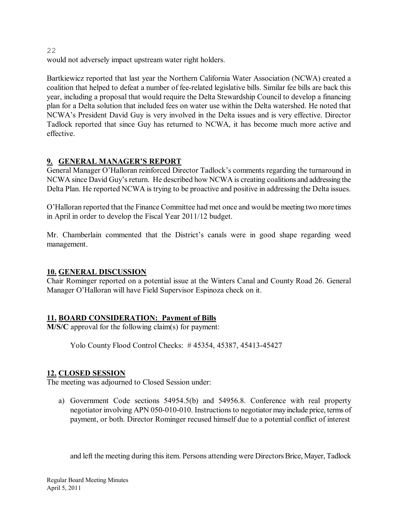would not adversely impact upstream water right holders.

Bartkiewicz reported that last year the Northern California Water Association (NCWA) created a coalition that helped to defeat a number of feerelated legislative bills. Similar fee bills are back this year, including a proposal that would require the Delta Stewardship Council to develop a financing plan for a Delta solution that included fees on water use within the Delta watershed. He noted that NCWA's President David Guy is very involved in the Delta issues and is very effective. Director Tadlock reported that since Guy has returned to NCWA, it has become much more active and effective.

# **9. GENERAL MANAGER'S REPORT**

General Manager O'Halloran reinforced Director Tadlock's comments regarding the turnaround in NCWA since David Guy's return. He described how NCWA is creating coalitions and addressing the Delta Plan. He reported NCWA is trying to be proactive and positive in addressing the Delta issues.

O'Halloran reported that the Finance Committee had met once and would be meeting two more times in April in order to develop the Fiscal Year 2011/12 budget.

Mr. Chamberlain commented that the District's canals were in good shape regarding weed management.

#### **10. GENERAL DISCUSSION**

Chair Rominger reported on a potential issue at the Winters Canal and County Road 26. General Manager O'Halloran will have Field Supervisor Espinoza check on it.

# **11. BOARD CONSIDERATION: Payment of Bills**

**M/S/C** approval for the following claim(s) for payment:

Yolo County Flood Control Checks: #45354, 45387, 45413-45427

#### **12. CLOSED SESSION**

The meeting was adjourned to Closed Session under:

a) Government Code sections 54954.5(b) and 54956.8. Conference with real property negotiator involving APN 050-010-010. Instructions to negotiator may include price, terms of payment, or both. Director Rominger recused himself due to a potential conflict of interest

and left the meeting during this item. Persons attending were Directors Brice, Mayer, Tadlock

22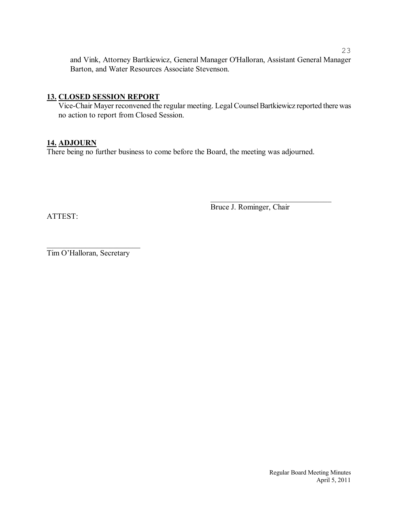and Vink, Attorney Bartkiewicz, General Manager O'Halloran, Assistant General Manager Barton, and Water Resources Associate Stevenson.

#### **13. CLOSED SESSION REPORT**

Vice-Chair Mayer reconvened the regular meeting. Legal Counsel Bartkiewicz reported there was no action to report from Closed Session.

#### **14. ADJOURN**

There being no further business to come before the Board, the meeting was adjourned.

Bruce J. Rominger, Chair

\_\_\_\_\_\_\_\_\_\_\_\_\_\_\_\_\_\_\_\_\_\_\_\_\_\_\_\_\_\_\_

ATTEST:

 $\overline{\phantom{a}}$  , which is a set of the set of the set of the set of the set of the set of the set of the set of the set of the set of the set of the set of the set of the set of the set of the set of the set of the set of th Tim O'Halloran, Secretary